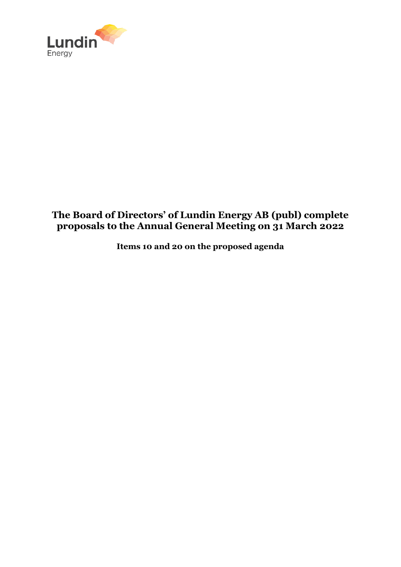

# **The Board of Directors' of Lundin Energy AB (publ) complete proposals to the Annual General Meeting on 31 March 2022**

**Items 10 and 20 on the proposed agenda**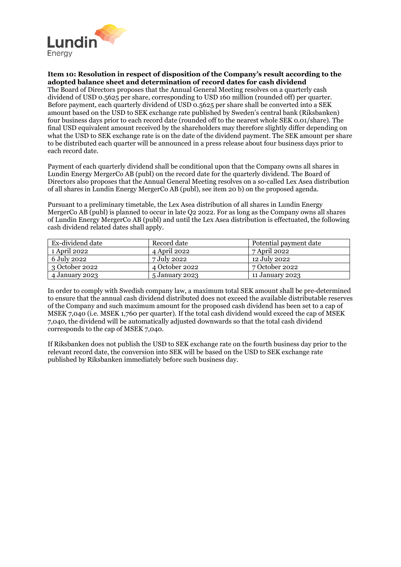

## **Item 10: Resolution in respect of disposition of the Company's result according to the adopted balance sheet and determination of record dates for cash dividend**

The Board of Directors proposes that the Annual General Meeting resolves on a quarterly cash dividend of USD 0.5625 per share, corresponding to USD 160 million (rounded off) per quarter. Before payment, each quarterly dividend of USD 0.5625 per share shall be converted into a SEK amount based on the USD to SEK exchange rate published by Sweden's central bank (Riksbanken) four business days prior to each record date (rounded off to the nearest whole SEK 0.01/share). The final USD equivalent amount received by the shareholders may therefore slightly differ depending on what the USD to SEK exchange rate is on the date of the dividend payment. The SEK amount per share to be distributed each quarter will be announced in a press release about four business days prior to each record date.

Payment of each quarterly dividend shall be conditional upon that the Company owns all shares in Lundin Energy MergerCo AB (publ) on the record date for the quarterly dividend. The Board of Directors also proposes that the Annual General Meeting resolves on a so-called Lex Asea distribution of all shares in Lundin Energy MergerCo AB (publ), see item 20 b) on the proposed agenda.

Pursuant to a preliminary timetable, the Lex Asea distribution of all shares in Lundin Energy MergerCo AB (publ) is planned to occur in late O2 2022. For as long as the Company owns all shares of Lundin Energy MergerCo AB (publ) and until the Lex Asea distribution is effectuated, the following cash dividend related dates shall apply.

| Ex-dividend date | Record date    | Potential payment date |
|------------------|----------------|------------------------|
| 1 April 2022     | 4 April 2022   | 7 April 2022           |
| 6 July 2022      | 7 July 2022    | 12 July 2022           |
| 3 October 2022   | 4 October 2022 | 7 October 2022         |
| 4 January 2023   | 5 January 2023 | 11 January 2023        |

In order to comply with Swedish company law, a maximum total SEK amount shall be pre-determined to ensure that the annual cash dividend distributed does not exceed the available distributable reserves of the Company and such maximum amount for the proposed cash dividend has been set to a cap of MSEK 7,040 (i.e. MSEK 1,760 per quarter). If the total cash dividend would exceed the cap of MSEK 7,040, the dividend will be automatically adjusted downwards so that the total cash dividend corresponds to the cap of MSEK 7,040.

If Riksbanken does not publish the USD to SEK exchange rate on the fourth business day prior to the relevant record date, the conversion into SEK will be based on the USD to SEK exchange rate published by Riksbanken immediately before such business day.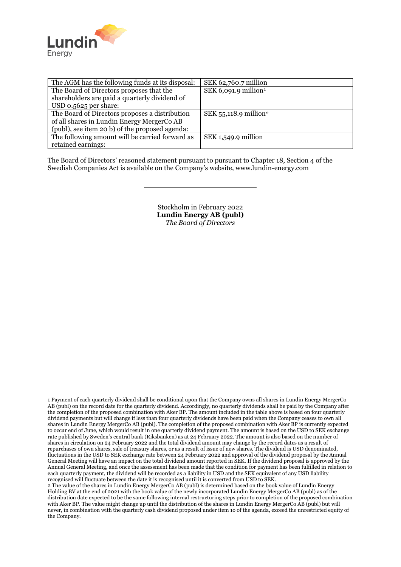

 $\overline{a}$ 

| The AGM has the following funds at its disposal: | SEK 62,760.7 million              |
|--------------------------------------------------|-----------------------------------|
| The Board of Directors proposes that the         | SEK 6,091.9 million <sup>1</sup>  |
| shareholders are paid a quarterly dividend of    |                                   |
| USD 0.5625 per share:                            |                                   |
| The Board of Directors proposes a distribution   | SEK 55,118.9 million <sup>2</sup> |
| of all shares in Lundin Energy MergerCo AB       |                                   |
| (publ), see item 20 b) of the proposed agenda:   |                                   |
| The following amount will be carried forward as  | SEK 1,549.9 million               |
| retained earnings:                               |                                   |

The Board of Directors' reasoned statement pursuant to pursuant to Chapter 18, Section 4 of the Swedish Companies Act is available on the Company's website, www.lundin-energy.com

> Stockholm in February 2022 **Lundin Energy AB (publ)** *The Board of Directors*

<span id="page-2-0"></span><sup>1</sup> Payment of each quarterly dividend shall be conditional upon that the Company owns all shares in Lundin Energy MergerCo AB (publ) on the record date for the quarterly dividend. Accordingly, no quarterly dividends shall be paid by the Company after the completion of the proposed combination with Aker BP. The amount included in the table above is based on four quarterly dividend payments but will change if less than four quarterly dividends have been paid when the Company ceases to own all shares in Lundin Energy MergerCo AB (publ). The completion of the proposed combination with Aker BP is currently expected to occur end of June, which would result in one quarterly dividend payment. The amount is based on the USD to SEK exchange rate published by Sweden's central bank (Riksbanken) as at 24 February 2022. The amount is also based on the number of shares in circulation on 24 February 2022 and the total dividend amount may change by the record dates as a result of repurchases of own shares, sale of treasury shares, or as a result of issue of new shares. The dividend is USD denominated, fluctuations in the USD to SEK exchange rate between 24 February 2022 and approval of the dividend proposal by the Annual General Meeting will have an impact on the total dividend amount reported in SEK. If the dividend proposal is approved by the Annual General Meeting, and once the assessment has been made that the condition for payment has been fulfilled in relation to each quarterly payment, the dividend will be recorded as a liability in USD and the SEK equivalent of any USD liability recognised will fluctuate between the date it is recognised until it is converted from USD to SEK.

<span id="page-2-1"></span><sup>2</sup> The value of the shares in Lundin Energy MergerCo AB (publ) is determined based on the book value of Lundin Energy Holding BV at the end of 2021 with the book value of the newly incorporated Lundin Energy MergerCo AB (publ) as of the distribution date expected to be the same following internal restructuring steps prior to completion of the proposed combination with Aker BP. The value might change up until the distribution of the shares in Lundin Energy MergerCo AB (publ) but will never, in combination with the quarterly cash dividend proposed under item 1o of the agenda, exceed the unrestricted equity of the Company.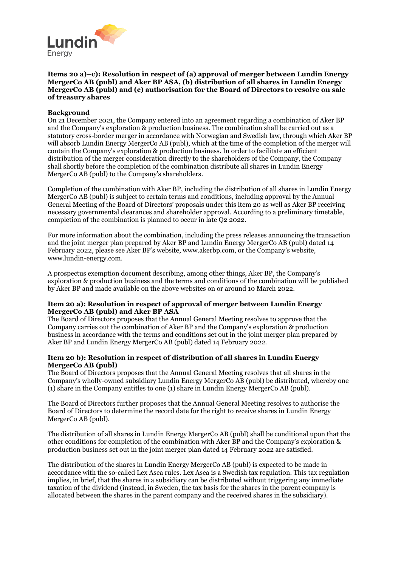

### **Items 20 a)–c): Resolution in respect of (a) approval of merger between Lundin Energy MergerCo AB (publ) and Aker BP ASA, (b) distribution of all shares in Lundin Energy MergerCo AB (publ) and (c) authorisation for the Board of Directors to resolve on sale of treasury shares**

# **Background**

On 21 December 2021, the Company entered into an agreement regarding a combination of Aker BP and the Company's exploration & production business. The combination shall be carried out as a statutory cross-border merger in accordance with Norwegian and Swedish law, through which Aker BP will absorb Lundin Energy MergerCo AB (publ), which at the time of the completion of the merger will contain the Company's exploration & production business. In order to facilitate an efficient distribution of the merger consideration directly to the shareholders of the Company, the Company shall shortly before the completion of the combination distribute all shares in Lundin Energy MergerCo AB (publ) to the Company's shareholders.

Completion of the combination with Aker BP, including the distribution of all shares in Lundin Energy MergerCo AB (publ) is subject to certain terms and conditions, including approval by the Annual General Meeting of the Board of Directors' proposals under this item 20 as well as Aker BP receiving necessary governmental clearances and shareholder approval. According to a preliminary timetable, completion of the combination is planned to occur in late Q2 2022.

For more information about the combination, including the press releases announcing the transaction and the joint merger plan prepared by Aker BP and Lundin Energy MergerCo AB (publ) dated 14 February 2022, please see Aker BP's website, www.akerbp.com, or the Company's website, www.lundin-energy.com.

A prospectus exemption document describing, among other things, Aker BP, the Company's exploration & production business and the terms and conditions of the combination will be published by Aker BP and made available on the above websites on or around 10 March 2022.

#### **Item 20 a): Resolution in respect of approval of merger between Lundin Energy MergerCo AB (publ) and Aker BP ASA**

The Board of Directors proposes that the Annual General Meeting resolves to approve that the Company carries out the combination of Aker BP and the Company's exploration & production business in accordance with the terms and conditions set out in the joint merger plan prepared by Aker BP and Lundin Energy MergerCo AB (publ) dated 14 February 2022.

#### **Item 20 b): Resolution in respect of distribution of all shares in Lundin Energy MergerCo AB (publ)**

The Board of Directors proposes that the Annual General Meeting resolves that all shares in the Company's wholly-owned subsidiary Lundin Energy MergerCo AB (publ) be distributed, whereby one (1) share in the Company entitles to one (1) share in Lundin Energy MergerCo AB (publ).

The Board of Directors further proposes that the Annual General Meeting resolves to authorise the Board of Directors to determine the record date for the right to receive shares in Lundin Energy MergerCo AB (publ).

The distribution of all shares in Lundin Energy MergerCo AB (publ) shall be conditional upon that the other conditions for completion of the combination with Aker BP and the Company's exploration & production business set out in the joint merger plan dated 14 February 2022 are satisfied.

The distribution of the shares in Lundin Energy MergerCo AB (publ) is expected to be made in accordance with the so-called Lex Asea rules. Lex Asea is a Swedish tax regulation. This tax regulation implies, in brief, that the shares in a subsidiary can be distributed without triggering any immediate taxation of the dividend (instead, in Sweden, the tax basis for the shares in the parent company is allocated between the shares in the parent company and the received shares in the subsidiary).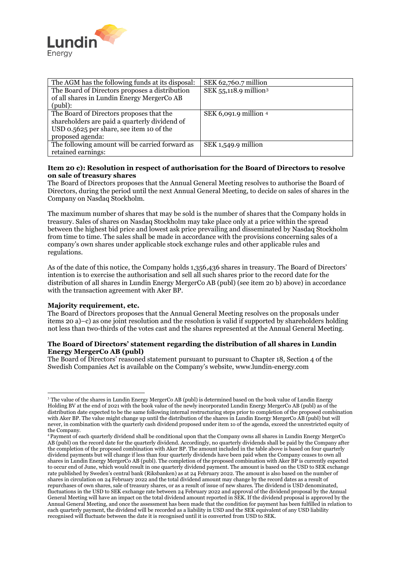

| The AGM has the following funds at its disposal: | SEK 62,760.7 million              |
|--------------------------------------------------|-----------------------------------|
| The Board of Directors proposes a distribution   | SEK 55,118.9 million <sup>3</sup> |
| of all shares in Lundin Energy MergerCo AB       |                                   |
| $(pub!)$ :                                       |                                   |
| The Board of Directors proposes that the         | SEK 6,091.9 million 4             |
| shareholders are paid a quarterly dividend of    |                                   |
| USD 0.5625 per share, see item 10 of the         |                                   |
| proposed agenda:                                 |                                   |
| The following amount will be carried forward as  | SEK 1,549.9 million               |
| retained earnings:                               |                                   |

# **Item 20 c): Resolution in respect of authorisation for the Board of Directors to resolve on sale of treasury shares**

The Board of Directors proposes that the Annual General Meeting resolves to authorise the Board of Directors, during the period until the next Annual General Meeting, to decide on sales of shares in the Company on Nasdaq Stockholm.

The maximum number of shares that may be sold is the number of shares that the Company holds in treasury. Sales of shares on Nasdaq Stockholm may take place only at a price within the spread between the highest bid price and lowest ask price prevailing and disseminated by Nasdaq Stockholm from time to time. The sales shall be made in accordance with the provisions concerning sales of a company's own shares under applicable stock exchange rules and other applicable rules and regulations.

As of the date of this notice, the Company holds 1,356,436 shares in treasury. The Board of Directors' intention is to exercise the authorisation and sell all such shares prior to the record date for the distribution of all shares in Lundin Energy MergerCo AB (publ) (see item 20 b) above) in accordance with the transaction agreement with Aker BP.

#### **Majority requirement, etc.**

The Board of Directors proposes that the Annual General Meeting resolves on the proposals under items 20 a)–c) as one joint resolution and the resolution is valid if supported by shareholders holding not less than two-thirds of the votes cast and the shares represented at the Annual General Meeting.

#### **The Board of Directors' statement regarding the distribution of all shares in Lundin Energy MergerCo AB (publ)**

The Board of Directors' reasoned statement pursuant to pursuant to Chapter 18, Section 4 of the Swedish Companies Act is available on the Company's website, www.lundin-energy.com

<span id="page-4-0"></span><sup>&</sup>lt;sup>3</sup> The value of the shares in Lundin Energy MergerCo AB (publ) is determined based on the book value of Lundin Energy Holding BV at the end of 2021 with the book value of the newly incorporated Lundin Energy MergerCo AB (publ) as of the distribution date expected to be the same following internal restructuring steps prior to completion of the proposed combination with Aker BP. The value might change up until the distribution of the shares in Lundin Energy MergerCo AB (publ) but will never, in combination with the quarterly cash dividend proposed under item 1o of the agenda, exceed the unrestricted equity of the Company.

<span id="page-4-1"></span><sup>4</sup> Payment of each quarterly dividend shall be conditional upon that the Company owns all shares in Lundin Energy MergerCo AB (publ) on the record date for the quarterly dividend. Accordingly, no quarterly dividends shall be paid by the Company after the completion of the proposed combination with Aker BP. The amount included in the table above is based on four quarterly dividend payments but will change if less than four quarterly dividends have been paid when the Company ceases to own all shares in Lundin Energy MergerCo AB (publ). The completion of the proposed combination with Aker BP is currently expected to occur end of June, which would result in one quarterly dividend payment. The amount is based on the USD to SEK exchange rate published by Sweden's central bank (Riksbanken) as at 24 February 2022. The amount is also based on the number of shares in circulation on 24 February 2022 and the total dividend amount may change by the record dates as a result of repurchases of own shares, sale of treasury shares, or as a result of issue of new shares. The dividend is USD denominated, fluctuations in the USD to SEK exchange rate between 24 February 2022 and approval of the dividend proposal by the Annual General Meeting will have an impact on the total dividend amount reported in SEK. If the dividend proposal is approved by the Annual General Meeting, and once the assessment has been made that the condition for payment has been fulfilled in relation to each quarterly payment, the dividend will be recorded as a liability in USD and the SEK equivalent of any USD liability recognised will fluctuate between the date it is recognised until it is converted from USD to SEK.